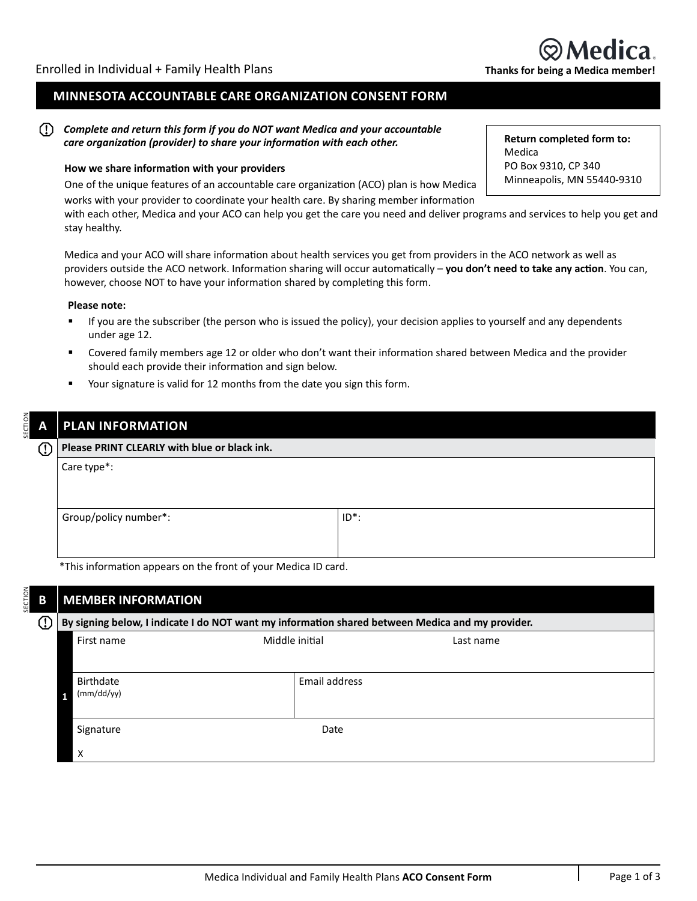### **MINNESOTA ACCOUNTABLE CARE ORGANIZATION CONSENT FORM**

#### $\left( \Gamma \right)$ *Complete and return this form if you do NOT want Medica and your accountable care organization (provider) to share your information with each other.*

### **How we share information with your providers**

One of the unique features of an accountable care organization (ACO) plan is how Medica works with your provider to coordinate your health care. By sharing member information

with each other, Medica and your ACO can help you get the care you need and deliver programs and services to help you get and stay healthy.

Medica and your ACO will share information about health services you get from providers in the ACO network as well as providers outside the ACO network. Information sharing will occur automatically – **you don't need to take any action**. You can, however, choose NOT to have your information shared by completing this form.

### **Please note:**

- If you are the subscriber (the person who is issued the policy), your decision applies to yourself and any dependents under age 12.
- Covered family members age 12 or older who don't want their information shared between Medica and the provider should each provide their information and sign below.
- Your signature is valid for 12 months from the date you sign this form.

# SECTION SECTION **PLAN INFORMATION**

| !) | Please PRINT CLEARLY with blue or black ink. |          |  |  |
|----|----------------------------------------------|----------|--|--|
|    | Care type*:                                  |          |  |  |
|    |                                              |          |  |  |
|    |                                              |          |  |  |
|    | Group/policy number*:                        | $ID^*$ : |  |  |
|    |                                              |          |  |  |
|    |                                              |          |  |  |

\*This information appears on the front of your Medica ID card.

| В           | <b>MEMBER INFORMATION</b>                                                                        |                             |  |  |  |  |  |  |
|-------------|--------------------------------------------------------------------------------------------------|-----------------------------|--|--|--|--|--|--|
| $\mathbb O$ | By signing below, I indicate I do NOT want my information shared between Medica and my provider. |                             |  |  |  |  |  |  |
|             | First name                                                                                       | Middle initial<br>Last name |  |  |  |  |  |  |
|             |                                                                                                  |                             |  |  |  |  |  |  |
|             | Birthdate                                                                                        | Email address               |  |  |  |  |  |  |
|             | (mm/dd/yy)                                                                                       |                             |  |  |  |  |  |  |
|             | Signature                                                                                        | Date                        |  |  |  |  |  |  |
|             | X                                                                                                |                             |  |  |  |  |  |  |

**Return completed form to:** Medica PO Box 9310, CP 340 Minneapolis, MN 55440-9310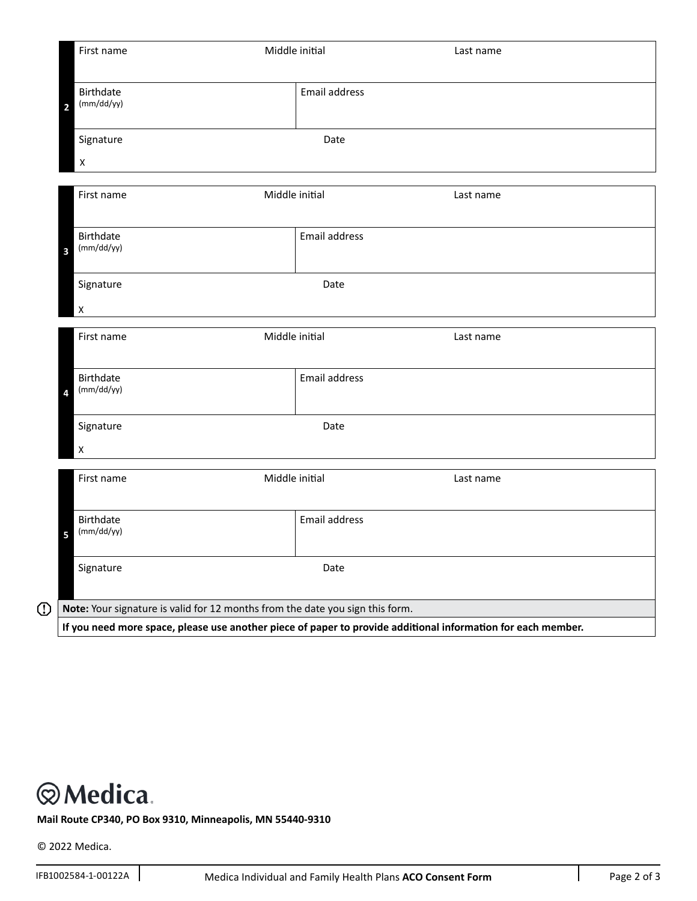|             | First name                              |                                                                               | Middle initial<br>Last name |               |                                                                                                              |  |
|-------------|-----------------------------------------|-------------------------------------------------------------------------------|-----------------------------|---------------|--------------------------------------------------------------------------------------------------------------|--|
|             | $\overline{\mathbf{c}}$                 | Birthdate<br>(mm/dd/yy)                                                       |                             | Email address |                                                                                                              |  |
|             | Signature<br>Date<br>$\pmb{\mathsf{X}}$ |                                                                               |                             |               |                                                                                                              |  |
|             |                                         | Middle initial<br>First name                                                  |                             |               | Last name                                                                                                    |  |
|             | 3                                       | Birthdate<br>(mm/dd/yy)                                                       |                             | Email address |                                                                                                              |  |
|             | Signature<br>Date<br>$\pmb{\times}$     |                                                                               |                             |               |                                                                                                              |  |
|             |                                         | First name                                                                    | Middle initial              |               | Last name                                                                                                    |  |
|             | 4                                       | Birthdate<br>(mm/dd/yy)                                                       |                             | Email address |                                                                                                              |  |
|             |                                         | Signature<br>$\pmb{\times}$                                                   |                             | Date          |                                                                                                              |  |
|             |                                         | First name                                                                    | Middle initial              |               | Last name                                                                                                    |  |
|             | 5                                       | Birthdate<br>(mm/dd/yy)                                                       |                             | Email address |                                                                                                              |  |
|             |                                         | Signature                                                                     |                             | Date          |                                                                                                              |  |
| $\mathbb O$ |                                         | Note: Your signature is valid for 12 months from the date you sign this form. |                             |               |                                                                                                              |  |
|             |                                         |                                                                               |                             |               | If you need more space, please use another piece of paper to provide additional information for each member. |  |

## **@Medica.**

**Mail Route CP340, PO Box 9310, Minneapolis, MN 55440-9310**

© 2022 Medica.